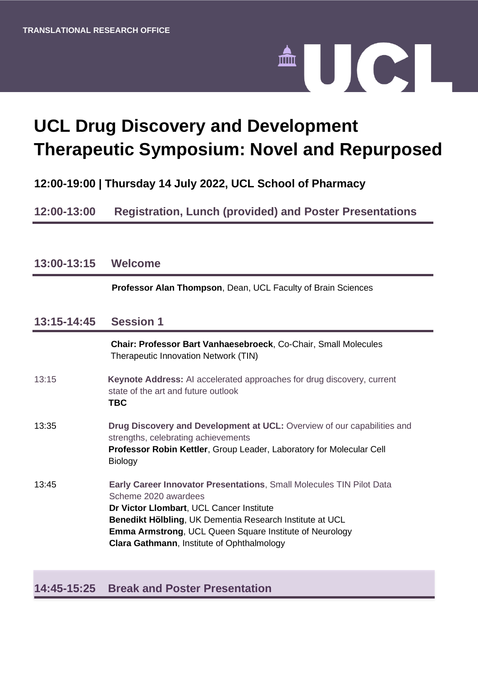

# **UCL Drug Discovery and Development Therapeutic Symposium: Novel and Repurposed**

# **12:00-19:00 | Thursday 14 July 2022, UCL School of Pharmacy**

# **12:00-13:00 Registration, Lunch (provided) and Poster Presentations**

| 13:00-13:15 Welcome |                                                                                                                                                                                                                                                                                                                                    |
|---------------------|------------------------------------------------------------------------------------------------------------------------------------------------------------------------------------------------------------------------------------------------------------------------------------------------------------------------------------|
|                     | Professor Alan Thompson, Dean, UCL Faculty of Brain Sciences                                                                                                                                                                                                                                                                       |
| 13:15-14:45         | <b>Session 1</b>                                                                                                                                                                                                                                                                                                                   |
|                     | Chair: Professor Bart Vanhaesebroeck, Co-Chair, Small Molecules<br>Therapeutic Innovation Network (TIN)                                                                                                                                                                                                                            |
| 13:15               | <b>Keynote Address:</b> AI accelerated approaches for drug discovery, current<br>state of the art and future outlook<br><b>TBC</b>                                                                                                                                                                                                 |
| 13:35               | <b>Drug Discovery and Development at UCL:</b> Overview of our capabilities and<br>strengths, celebrating achievements<br>Professor Robin Kettler, Group Leader, Laboratory for Molecular Cell<br><b>Biology</b>                                                                                                                    |
| 13:45               | <b>Early Career Innovator Presentations, Small Molecules TIN Pilot Data</b><br>Scheme 2020 awardees<br>Dr Victor Llombart, UCL Cancer Institute<br>Benedikt Hölbling, UK Dementia Research Institute at UCL<br><b>Emma Armstrong, UCL Queen Square Institute of Neurology</b><br><b>Clara Gathmann, Institute of Ophthalmology</b> |

### **14:45-15:25 Break and Poster Presentation**